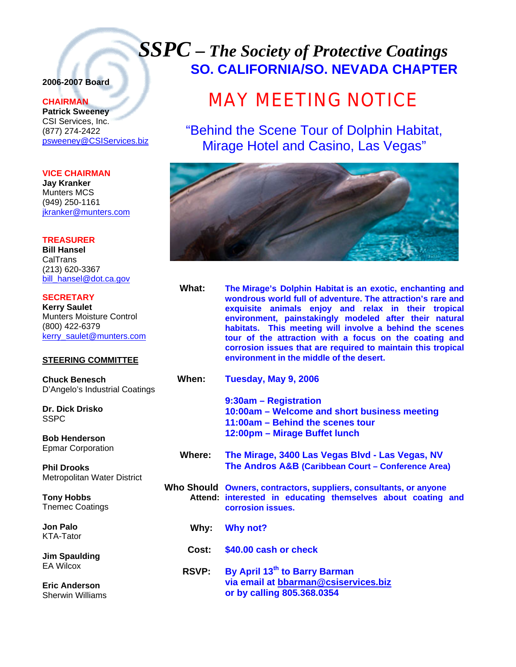# *SSPC – The Society of Protective Coatings* **SO. CALIFORNIA/SO. NEVADA CHAPTER**

# **2006-2007 Board**

## **CHAIRMAN**

**Patrick Sweeney** CSI Services, Inc. (877) 274-2422 psweeney@CSIServices.biz

### **VICE CHAIRMAN**

**Jay Kranker** Munters MCS (949) 250-1161 jkranker@munters.com

### **TREASURER**

**Bill Hansel CalTrans** (213) 620-3367 bill\_hansel@dot.ca.gov

#### **SECRETARY**

**Kerry Saulet** Munters Moisture Control (800) 422-6379 kerry\_saulet@munters.com

### **STEERING COMMITTEE**

**Chuck Benesch**  D'Angelo's Industrial Coatings

**Dr. Dick Drisko SSPC** 

**Bob Henderson**  Epmar Corporation

**Phil Drooks**  Metropolitan Water District

**Tony Hobbs**  Tnemec Coatings

**Jon Palo**  KTA-Tator

**Jim Spaulding**  EA Wilcox

**Eric Anderson**  Sherwin Williams

# MAY MEETING NOTICE

"Behind the Scene Tour of Dolphin Habitat, Mirage Hotel and Casino, Las Vegas"



**What: The Mirage's Dolphin Habitat is an exotic, enchanting and wondrous world full of adventure. The attraction's rare and exquisite animals enjoy and relax in their tropical environment, painstakingly modeled after their natural habitats. This meeting will involve a behind the scenes tour of the attraction with a focus on the coating and corrosion issues that are required to maintain this tropical environment in the middle of the desert.** 

| When: | Tuesday, May 9, 2006                         |
|-------|----------------------------------------------|
|       | 9:30am - Registration                        |
|       | 10:00am – Welcome and short business meeting |
|       | 11:00am - Behind the scenes tour             |
|       | 12:00pm – Mirage Buffet lunch                |

 **Where: The Mirage, 3400 Las Vegas Blvd - Las Vegas, NV The Andros A&B (Caribbean Court – Conference Area)** 

**Who Should Owners, contractors, suppliers, consultants, or anyone Attend: interested in educating themselves about coating and corrosion issues.** 

- **Why: Why not?**
- **Cost: \$40.00 cash or check**
- **RSVP: By April 13th to Barry Barman via email at bbarman@csiservices.biz or by calling 805.368.0354**